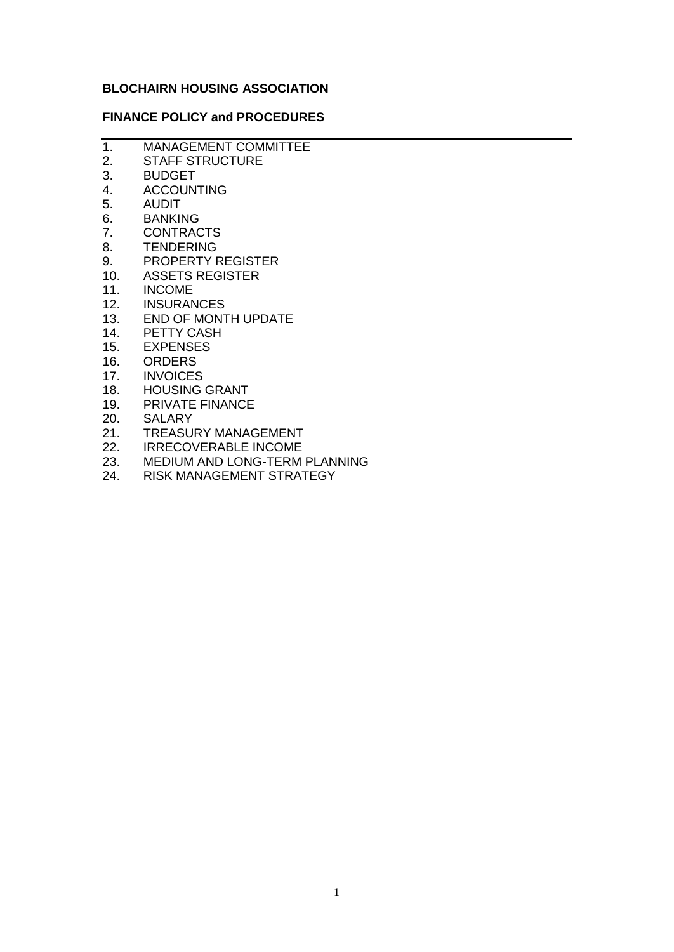# **BLOCHAIRN HOUSING ASSOCIATION**

### **FINANCE POLICY and PROCEDURES**

- 1. MANAGEMENT COMMITTEE 2. STAFF STRUCTURE
- 3. BUDGET
- 
- 4. ACCOUNTING<br>5. AUDIT 5. AUDIT
- 
- 6. BANKING<br>7. CONTRAQ **CONTRACTS**
- 8. TENDERING
- 9. PROPERTY REGISTER
- 10. ASSETS REGISTER
- 11. INCOME
- 12. INSURANCES
- 13. END OF MONTH UPDATE
- 14. PETTY CASH
- 15. EXPENSES
- 16. ORDERS
- 17. INVOICES
- 18. HOUSING GRANT<br>19. PRIVATE FINANCE
- PRIVATE FINANCE
- 20. SALARY
- 21. TREASURY MANAGEMENT
- 22. IRRECOVERABLE INCOME
- 23. MEDIUM AND LONG-TERM PLANNING
- 24. RISK MANAGEMENT STRATEGY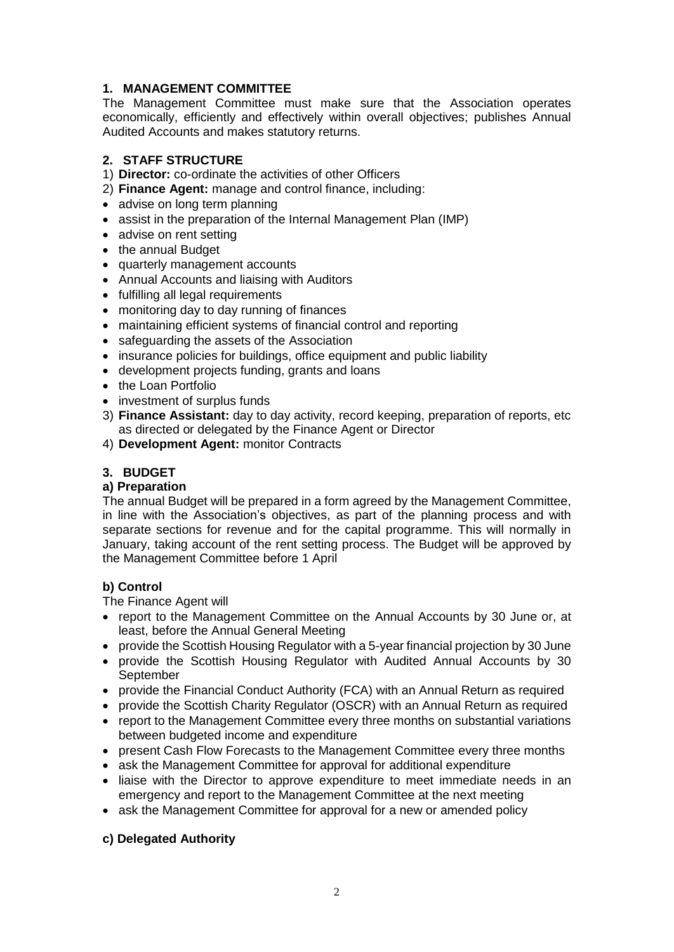# **1. MANAGEMENT COMMITTEE**

The Management Committee must make sure that the Association operates economically, efficiently and effectively within overall objectives; publishes Annual Audited Accounts and makes statutory returns.

# **2. STAFF STRUCTURE**

- 1) **Director:** co-ordinate the activities of other Officers
- 2) **Finance Agent:** manage and control finance, including:
- advise on long term planning
- assist in the preparation of the Internal Management Plan (IMP)
- advise on rent setting
- the annual Budget
- quarterly management accounts
- Annual Accounts and liaising with Auditors
- fulfilling all legal requirements
- monitoring day to day running of finances
- maintaining efficient systems of financial control and reporting
- safeguarding the assets of the Association
- insurance policies for buildings, office equipment and public liability
- development projects funding, grants and loans
- the Loan Portfolio
- investment of surplus funds
- 3) **Finance Assistant:** day to day activity, record keeping, preparation of reports, etc as directed or delegated by the Finance Agent or Director
- 4) **Development Agent:** monitor Contracts

# **3. BUDGET**

# **a) Preparation**

The annual Budget will be prepared in a form agreed by the Management Committee, in line with the Association's objectives, as part of the planning process and with separate sections for revenue and for the capital programme. This will normally in January, taking account of the rent setting process. The Budget will be approved by the Management Committee before 1 April

# **b) Control**

The Finance Agent will

- report to the Management Committee on the Annual Accounts by 30 June or, at least, before the Annual General Meeting
- provide the Scottish Housing Regulator with a 5-year financial projection by 30 June
- provide the Scottish Housing Regulator with Audited Annual Accounts by 30 **September**
- provide the Financial Conduct Authority (FCA) with an Annual Return as required
- provide the Scottish Charity Regulator (OSCR) with an Annual Return as required
- report to the Management Committee every three months on substantial variations between budgeted income and expenditure
- present Cash Flow Forecasts to the Management Committee every three months
- ask the Management Committee for approval for additional expenditure
- liaise with the Director to approve expenditure to meet immediate needs in an emergency and report to the Management Committee at the next meeting
- ask the Management Committee for approval for a new or amended policy

# **c) Delegated Authority**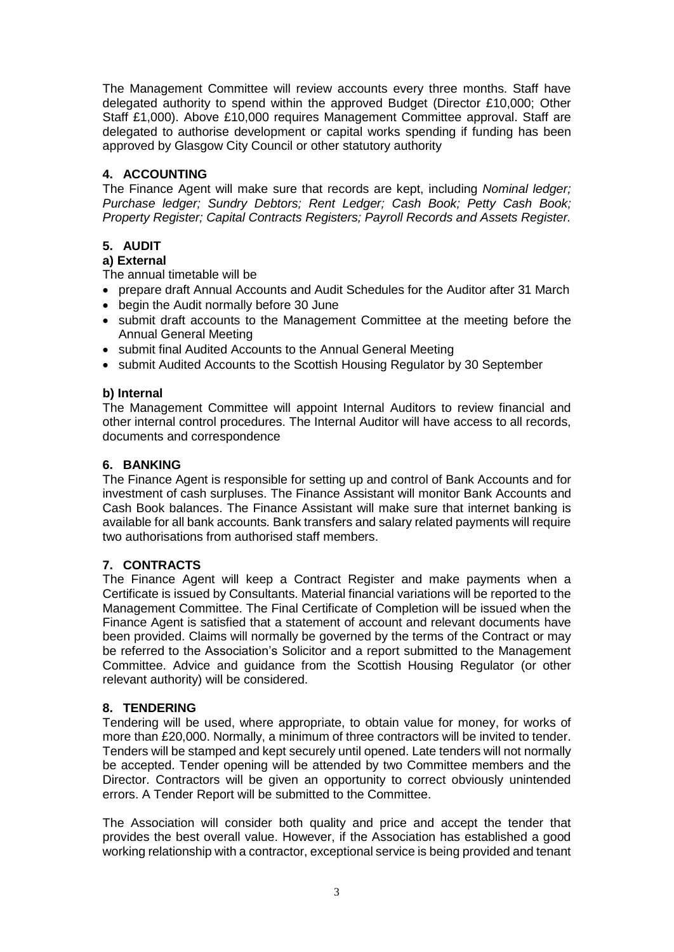The Management Committee will review accounts every three months. Staff have delegated authority to spend within the approved Budget (Director £10,000; Other Staff £1,000). Above £10,000 requires Management Committee approval. Staff are delegated to authorise development or capital works spending if funding has been approved by Glasgow City Council or other statutory authority

# **4. ACCOUNTING**

The Finance Agent will make sure that records are kept, including *Nominal ledger; Purchase ledger; Sundry Debtors; Rent Ledger; Cash Book; Petty Cash Book; Property Register; Capital Contracts Registers; Payroll Records and Assets Register.*

# **5. AUDIT**

# **a) External**

The annual timetable will be

- prepare draft Annual Accounts and Audit Schedules for the Auditor after 31 March
- begin the Audit normally before 30 June
- submit draft accounts to the Management Committee at the meeting before the Annual General Meeting
- submit final Audited Accounts to the Annual General Meeting
- submit Audited Accounts to the Scottish Housing Regulator by 30 September

# **b) Internal**

The Management Committee will appoint Internal Auditors to review financial and other internal control procedures. The Internal Auditor will have access to all records, documents and correspondence

# **6. BANKING**

The Finance Agent is responsible for setting up and control of Bank Accounts and for investment of cash surpluses. The Finance Assistant will monitor Bank Accounts and Cash Book balances. The Finance Assistant will make sure that internet banking is available for all bank accounts*.* Bank transfers and salary related payments will require two authorisations from authorised staff members.

# **7. CONTRACTS**

The Finance Agent will keep a Contract Register and make payments when a Certificate is issued by Consultants. Material financial variations will be reported to the Management Committee. The Final Certificate of Completion will be issued when the Finance Agent is satisfied that a statement of account and relevant documents have been provided. Claims will normally be governed by the terms of the Contract or may be referred to the Association's Solicitor and a report submitted to the Management Committee. Advice and guidance from the Scottish Housing Regulator (or other relevant authority) will be considered.

# **8. TENDERING**

Tendering will be used, where appropriate, to obtain value for money, for works of more than £20,000. Normally, a minimum of three contractors will be invited to tender. Tenders will be stamped and kept securely until opened. Late tenders will not normally be accepted. Tender opening will be attended by two Committee members and the Director. Contractors will be given an opportunity to correct obviously unintended errors. A Tender Report will be submitted to the Committee.

The Association will consider both quality and price and accept the tender that provides the best overall value. However, if the Association has established a good working relationship with a contractor, exceptional service is being provided and tenant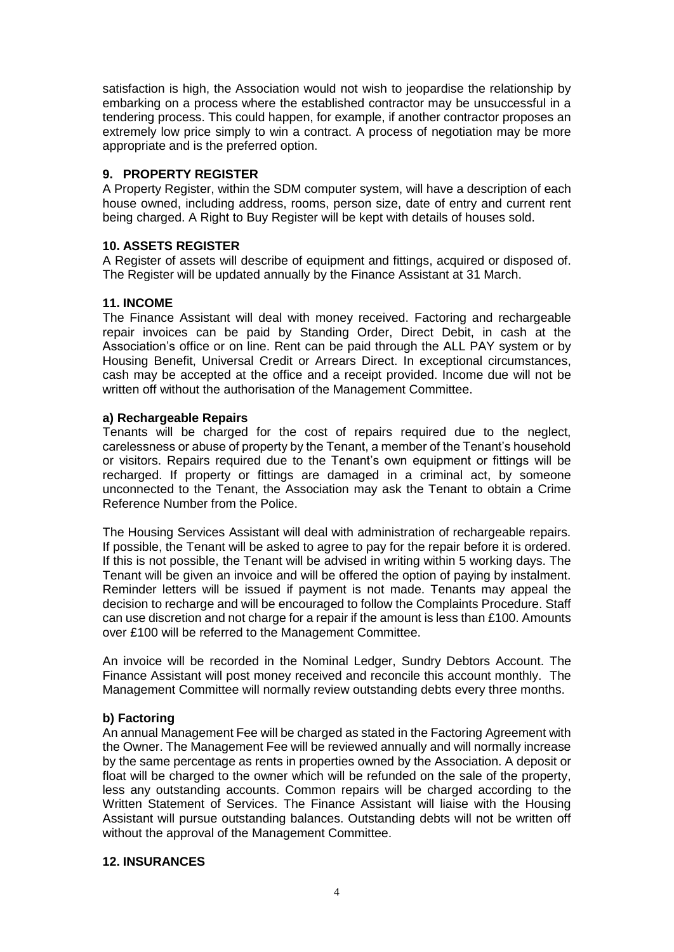satisfaction is high, the Association would not wish to jeopardise the relationship by embarking on a process where the established contractor may be unsuccessful in a tendering process. This could happen, for example, if another contractor proposes an extremely low price simply to win a contract. A process of negotiation may be more appropriate and is the preferred option.

# **9. PROPERTY REGISTER**

A Property Register, within the SDM computer system, will have a description of each house owned, including address, rooms, person size, date of entry and current rent being charged. A Right to Buy Register will be kept with details of houses sold.

### **10. ASSETS REGISTER**

A Register of assets will describe of equipment and fittings, acquired or disposed of. The Register will be updated annually by the Finance Assistant at 31 March.

#### **11. INCOME**

The Finance Assistant will deal with money received. Factoring and rechargeable repair invoices can be paid by Standing Order, Direct Debit, in cash at the Association's office or on line. Rent can be paid through the ALL PAY system or by Housing Benefit, Universal Credit or Arrears Direct. In exceptional circumstances, cash may be accepted at the office and a receipt provided. Income due will not be written off without the authorisation of the Management Committee.

#### **a) Rechargeable Repairs**

Tenants will be charged for the cost of repairs required due to the neglect, carelessness or abuse of property by the Tenant, a member of the Tenant's household or visitors. Repairs required due to the Tenant's own equipment or fittings will be recharged. If property or fittings are damaged in a criminal act, by someone unconnected to the Tenant, the Association may ask the Tenant to obtain a Crime Reference Number from the Police.

The Housing Services Assistant will deal with administration of rechargeable repairs. If possible, the Tenant will be asked to agree to pay for the repair before it is ordered. If this is not possible, the Tenant will be advised in writing within 5 working days. The Tenant will be given an invoice and will be offered the option of paying by instalment. Reminder letters will be issued if payment is not made. Tenants may appeal the decision to recharge and will be encouraged to follow the Complaints Procedure. Staff can use discretion and not charge for a repair if the amount is less than £100. Amounts over £100 will be referred to the Management Committee.

An invoice will be recorded in the Nominal Ledger, Sundry Debtors Account. The Finance Assistant will post money received and reconcile this account monthly. The Management Committee will normally review outstanding debts every three months.

#### **b) Factoring**

An annual Management Fee will be charged as stated in the Factoring Agreement with the Owner. The Management Fee will be reviewed annually and will normally increase by the same percentage as rents in properties owned by the Association. A deposit or float will be charged to the owner which will be refunded on the sale of the property, less any outstanding accounts. Common repairs will be charged according to the Written Statement of Services. The Finance Assistant will liaise with the Housing Assistant will pursue outstanding balances. Outstanding debts will not be written off without the approval of the Management Committee.

#### **12. INSURANCES**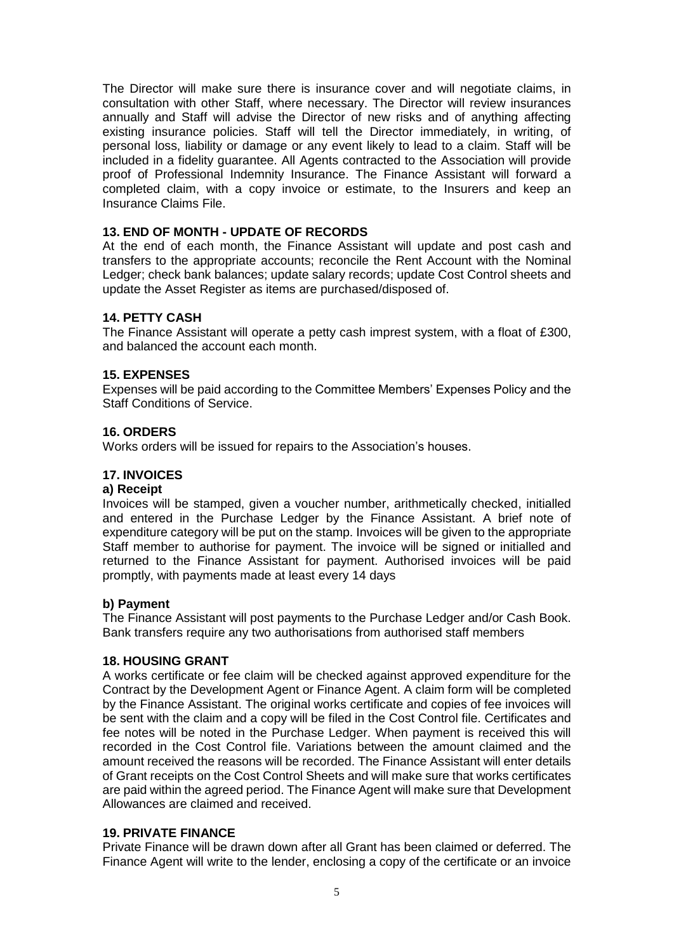The Director will make sure there is insurance cover and will negotiate claims, in consultation with other Staff, where necessary. The Director will review insurances annually and Staff will advise the Director of new risks and of anything affecting existing insurance policies. Staff will tell the Director immediately, in writing, of personal loss, liability or damage or any event likely to lead to a claim. Staff will be included in a fidelity guarantee. All Agents contracted to the Association will provide proof of Professional Indemnity Insurance. The Finance Assistant will forward a completed claim, with a copy invoice or estimate, to the Insurers and keep an Insurance Claims File.

### **13. END OF MONTH - UPDATE OF RECORDS**

At the end of each month, the Finance Assistant will update and post cash and transfers to the appropriate accounts; reconcile the Rent Account with the Nominal Ledger; check bank balances; update salary records; update Cost Control sheets and update the Asset Register as items are purchased/disposed of.

#### **14. PETTY CASH**

The Finance Assistant will operate a petty cash imprest system, with a float of £300, and balanced the account each month.

#### **15. EXPENSES**

Expenses will be paid according to the Committee Members' Expenses Policy and the Staff Conditions of Service.

#### **16. ORDERS**

Works orders will be issued for repairs to the Association's houses.

### **17. INVOICES**

#### **a) Receipt**

Invoices will be stamped, given a voucher number, arithmetically checked, initialled and entered in the Purchase Ledger by the Finance Assistant. A brief note of expenditure category will be put on the stamp. Invoices will be given to the appropriate Staff member to authorise for payment. The invoice will be signed or initialled and returned to the Finance Assistant for payment. Authorised invoices will be paid promptly, with payments made at least every 14 days

#### **b) Payment**

The Finance Assistant will post payments to the Purchase Ledger and/or Cash Book. Bank transfers require any two authorisations from authorised staff members

# **18. HOUSING GRANT**

A works certificate or fee claim will be checked against approved expenditure for the Contract by the Development Agent or Finance Agent. A claim form will be completed by the Finance Assistant. The original works certificate and copies of fee invoices will be sent with the claim and a copy will be filed in the Cost Control file. Certificates and fee notes will be noted in the Purchase Ledger. When payment is received this will recorded in the Cost Control file. Variations between the amount claimed and the amount received the reasons will be recorded. The Finance Assistant will enter details of Grant receipts on the Cost Control Sheets and will make sure that works certificates are paid within the agreed period. The Finance Agent will make sure that Development Allowances are claimed and received.

#### **19. PRIVATE FINANCE**

Private Finance will be drawn down after all Grant has been claimed or deferred. The Finance Agent will write to the lender, enclosing a copy of the certificate or an invoice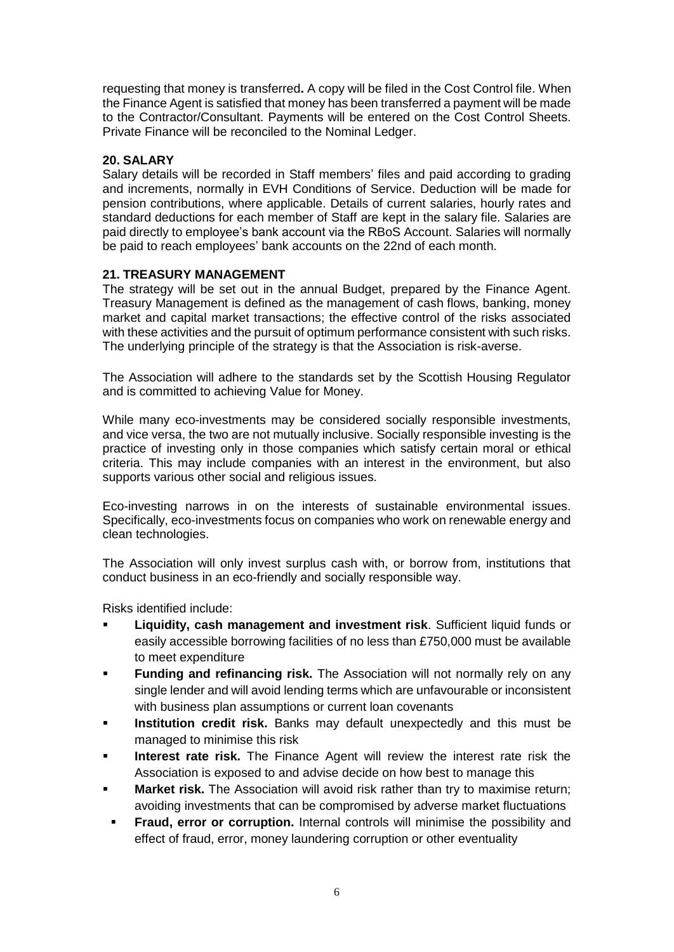requesting that money is transferred**.** A copy will be filed in the Cost Control file. When the Finance Agent is satisfied that money has been transferred a payment will be made to the Contractor/Consultant. Payments will be entered on the Cost Control Sheets. Private Finance will be reconciled to the Nominal Ledger.

# **20. SALARY**

Salary details will be recorded in Staff members' files and paid according to grading and increments, normally in EVH Conditions of Service. Deduction will be made for pension contributions, where applicable. Details of current salaries, hourly rates and standard deductions for each member of Staff are kept in the salary file. Salaries are paid directly to employee's bank account via the RBoS Account. Salaries will normally be paid to reach employees' bank accounts on the 22nd of each month.

# **21. TREASURY MANAGEMENT**

The strategy will be set out in the annual Budget, prepared by the Finance Agent. Treasury Management is defined as the management of cash flows, banking, money market and capital market transactions; the effective control of the risks associated with these activities and the pursuit of optimum performance consistent with such risks. The underlying principle of the strategy is that the Association is risk-averse.

The Association will adhere to the standards set by the Scottish Housing Regulator and is committed to achieving Value for Money.

While many eco-investments may be considered socially responsible investments, and vice versa, the two are not mutually inclusive. Socially responsible investing is the practice of investing only in those companies which satisfy certain moral or ethical criteria. This may include companies with an interest in the environment, but also supports various other social and religious issues.

Eco-investing narrows in on the interests of sustainable environmental issues. Specifically, eco-investments focus on companies who work on renewable energy and clean technologies.

The Association will only invest surplus cash with, or borrow from, institutions that conduct business in an eco-friendly and socially responsible way.

Risks identified include:

- **Liquidity, cash management and investment risk**. Sufficient liquid funds or easily accessible borrowing facilities of no less than £750,000 must be available to meet expenditure
- **Funding and refinancing risk.** The Association will not normally rely on any single lender and will avoid lending terms which are unfavourable or inconsistent with business plan assumptions or current loan covenants
- **EXEDENT Institution credit risk.** Banks may default unexpectedly and this must be managed to minimise this risk
- **Interest rate risk.** The Finance Agent will review the interest rate risk the Association is exposed to and advise decide on how best to manage this
- **Market risk.** The Association will avoid risk rather than try to maximise return; avoiding investments that can be compromised by adverse market fluctuations
- Fraud, error or corruption. Internal controls will minimise the possibility and effect of fraud, error, money laundering corruption or other eventuality